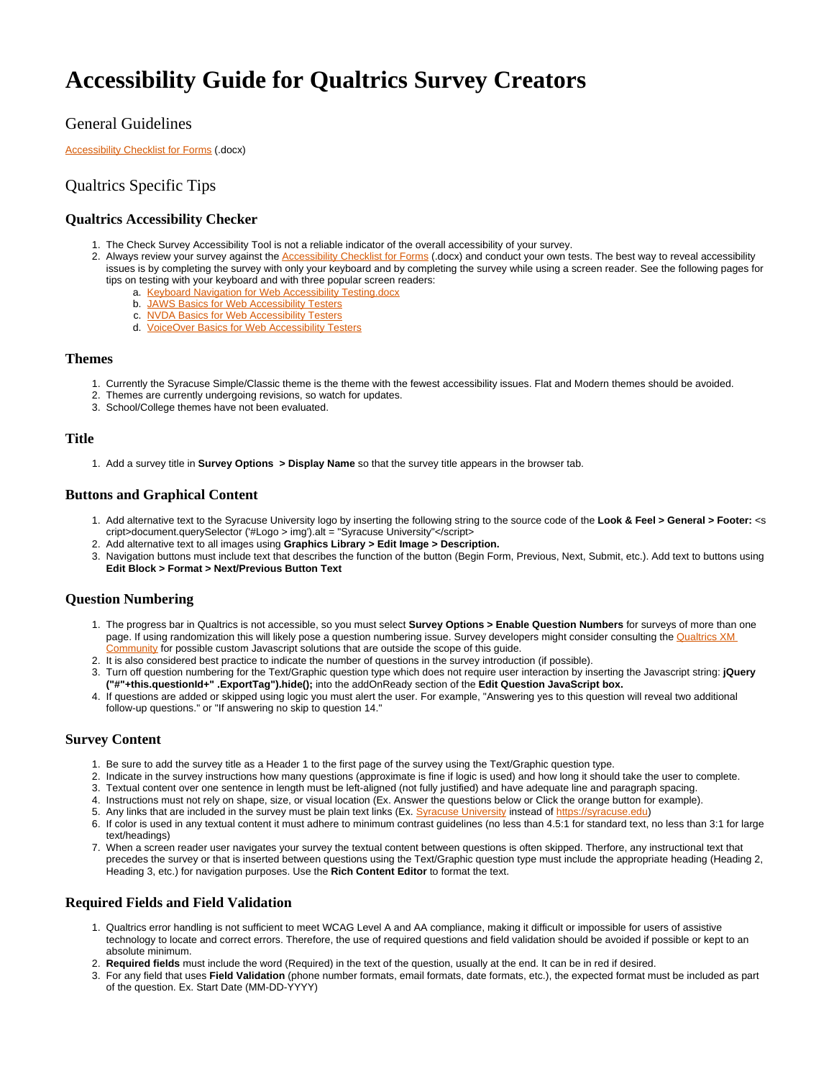# **Accessibility Guide for Qualtrics Survey Creators**

# General Guidelines

**[Accessibility Checklist for Forms](https://answers.syr.edu/download/attachments/69127540/Form%20Accessibility%20Checklist.docx?version=2&modificationDate=1638541750000&api=v2) (.docx)** 

## Qualtrics Specific Tips

#### **Qualtrics Accessibility Checker**

- 1. The Check Survey Accessibility Tool is not a reliable indicator of the overall accessibility of your survey.
- 2. Always review your survey against the [Accessibility Checklist for Forms](https://answers.syr.edu/download/attachments/69127540/Form%20Accessibility%20Checklist.docx?version=2&modificationDate=1638541750000&api=v2) (.docx) and conduct your own tests. The best way to reveal accessibility issues is by completing the survey with only your keyboard and by completing the survey while using a screen reader. See the following pages for tips on testing with your keyboard and with three popular screen readers:
	- a. [Keyboard Navigation for Web Accessibility Testing.docx](https://answers.syr.edu/download/attachments/75544486/Keyboard%20Navigation%20for%20Web%20Accessibility%20Testing.docx?version=1&modificationDate=1553086929000&api=v2)
	- b. [JAWS Basics for Web Accessibility Testers](https://answers.syr.edu/display/itsservapp011/JAWS+Basics+for+Web+Accessibility+Testers)
	- c. [NVDA Basics for Web Accessibility Testers](https://answers.syr.edu/display/itsservapp011/NVDA+Basics+for+Web+Accessibility+Testers)
	- d. [VoiceOver Basics for Web Accessibility Testers](https://answers.syr.edu/display/itsservapp011/VoiceOver+Basics+for+Web+Accessibility+Testers)

#### **Themes**

- 1. Currently the Syracuse Simple/Classic theme is the theme with the fewest accessibility issues. Flat and Modern themes should be avoided.
- 2. Themes are currently undergoing revisions, so watch for updates.
- 3. School/College themes have not been evaluated.

#### **Title**

1. Add a survey title in **Survey Options > Display Name** so that the survey title appears in the browser tab.

#### **Buttons and Graphical Content**

- 1. Add alternative text to the Syracuse University logo by inserting the following string to the source code of the **Look & Feel > General > Footer:** <s cript>document.querySelector ('#Logo > img').alt = "Syracuse University"</script>
- 2. Add alternative text to all images using **Graphics Library > Edit Image > Description.**
- 3. Navigation buttons must include text that describes the function of the button (Begin Form, Previous, Next, Submit, etc.). Add text to buttons using **Edit Block > Format > Next/Previous Button Text**

#### **Question Numbering**

- 1. The progress bar in Qualtrics is not accessible, so you must select **Survey Options > Enable Question Numbers** for surveys of more than one page. If using randomization this will likely pose a question numbering issue. Survey developers might consider consulting the Qualtrics XM [Community](https://community.qualtrics.com/XMcommunity/) for possible custom Javascript solutions that are outside the scope of this quide.
- 2. It is also considered best practice to indicate the number of questions in the survey introduction (if possible).
- 3. Turn off question numbering for the Text/Graphic question type which does not require user interaction by inserting the Javascript string: **jQuery ("#"+this.questionId+" .ExportTag").hide();** into the addOnReady section of the **Edit Question JavaScript box.**
- 4. If questions are added or skipped using logic you must alert the user. For example, "Answering yes to this question will reveal two additional follow-up questions." or "If answering no skip to question 14."

### **Survey Content**

- 1. Be sure to add the survey title as a Header 1 to the first page of the survey using the Text/Graphic question type.
- 2. Indicate in the survey instructions how many questions (approximate is fine if logic is used) and how long it should take the user to complete.
- 3. Textual content over one sentence in length must be left-aligned (not fully justified) and have adequate line and paragraph spacing.
- 4. Instructions must not rely on shape, size, or visual location (Ex. Answer the questions below or Click the orange button for example).
- 5. Any links that are included in the survey must be plain text links (Ex. <u>Syracuse University</u> instead of <u>https://syracuse.edu</u>)
- 6. If color is used in any textual content it must adhere to minimum contrast guidelines (no less than 4.5:1 for standard text, no less than 3:1 for large text/headings)
- 7. When a screen reader user navigates your survey the textual content between questions is often skipped. Therfore, any instructional text that precedes the survey or that is inserted between questions using the Text/Graphic question type must include the appropriate heading (Heading 2, Heading 3, etc.) for navigation purposes. Use the **Rich Content Editor** to format the text.

# **Required Fields and Field Validation**

- 1. Qualtrics error handling is not sufficient to meet WCAG Level A and AA compliance, making it difficult or impossible for users of assistive technology to locate and correct errors. Therefore, the use of required questions and field validation should be avoided if possible or kept to an absolute minimum.
- 2. **Required fields** must include the word (Required) in the text of the question, usually at the end. It can be in red if desired.
- 3. For any field that uses **Field Validation** (phone number formats, email formats, date formats, etc.), the expected format must be included as part of the question. Ex. Start Date (MM-DD-YYYY)